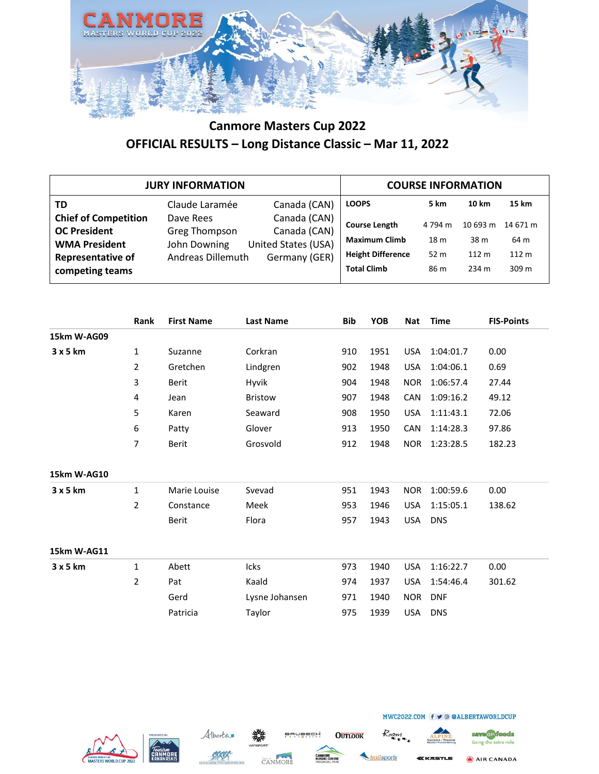

|                                                                                                                           | <b>JURY INFORMATION</b>                                                |                                                                      |                                                                                                |                                            | <b>COURSE INFORMATION</b>                    |                                    |
|---------------------------------------------------------------------------------------------------------------------------|------------------------------------------------------------------------|----------------------------------------------------------------------|------------------------------------------------------------------------------------------------|--------------------------------------------|----------------------------------------------|------------------------------------|
| <b>TD</b>                                                                                                                 | Claude Laramée                                                         | Canada (CAN)                                                         | <b>LOOPS</b>                                                                                   | 5 km                                       | 10 km                                        | 15 km                              |
| <b>Chief of Competition</b><br><b>OC President</b><br><b>WMA President</b><br><b>Representative of</b><br>competing teams | Dave Rees<br><b>Greg Thompson</b><br>John Downing<br>Andreas Dillemuth | Canada (CAN)<br>Canada (CAN)<br>United States (USA)<br>Germany (GER) | <b>Course Length</b><br><b>Maximum Climb</b><br><b>Height Difference</b><br><b>Total Climb</b> | 4 794 m<br>18 <sub>m</sub><br>52 m<br>86 m | 10693 m<br>38 m<br>112 <sub>m</sub><br>234 m | 14 671 m<br>64 m<br>112 m<br>309 m |

|             | Rank           | <b>First Name</b> | <b>Last Name</b> | <b>Bib</b> | <b>YOB</b> | <b>Nat</b> | <b>Time</b> | <b>FIS-Points</b> |
|-------------|----------------|-------------------|------------------|------------|------------|------------|-------------|-------------------|
| 15km W-AG09 |                |                   |                  |            |            |            |             |                   |
| 3x5km       | $\mathbf{1}$   | Suzanne           | Corkran          | 910        | 1951       | <b>USA</b> | 1:04:01.7   | 0.00              |
|             | 2              | Gretchen          | Lindgren         | 902        | 1948       | <b>USA</b> | 1:04:06.1   | 0.69              |
|             | 3              | Berit             | Hyvik            | 904        | 1948       | <b>NOR</b> | 1:06:57.4   | 27.44             |
|             | 4              | Jean              | <b>Bristow</b>   | 907        | 1948       | CAN        | 1:09:16.2   | 49.12             |
|             | 5              | Karen             | Seaward          | 908        | 1950       | <b>USA</b> | 1:11:43.1   | 72.06             |
|             | 6              | Patty             | Glover           | 913        | 1950       | CAN        | 1:14:28.3   | 97.86             |
|             | 7              | Berit             | Grosvold         | 912        | 1948       | <b>NOR</b> | 1:23:28.5   | 182.23            |
|             |                |                   |                  |            |            |            |             |                   |
| 15km W-AG10 |                |                   |                  |            |            |            |             |                   |
| 3x5km       | $\mathbf{1}$   | Marie Louise      | Svevad           | 951        | 1943       | <b>NOR</b> | 1:00:59.6   | 0.00              |
|             | 2              | Constance         | Meek             | 953        | 1946       | <b>USA</b> | 1:15:05.1   | 138.62            |
|             |                | Berit             | Flora            | 957        | 1943       | <b>USA</b> | <b>DNS</b>  |                   |
|             |                |                   |                  |            |            |            |             |                   |
| 15km W-AG11 |                |                   |                  |            |            |            |             |                   |
| 3x5km       | $\mathbf{1}$   | Abett             | Icks             | 973        | 1940       | <b>USA</b> | 1:16:22.7   | 0.00              |
|             | $\overline{2}$ | Pat               | Kaald            | 974        | 1937       | <b>USA</b> | 1:54:46.4   | 301.62            |
|             |                | Gerd              | Lysne Johansen   | 971        | 1940       | <b>NOR</b> | <b>DNF</b>  |                   |
|             |                | Patricia          | Taylor           | 975        | 1939       | <b>USA</b> | <b>DNS</b>  |                   |
|             |                |                   |                  |            |            |            |             |                   |







ailsports

**OUTLOOK** 



*EKASTLE* 

MWC2022.COM (f ⊎ © @ALBERTAWORLDCUP

save on foods Going the extra mile AIR CANADA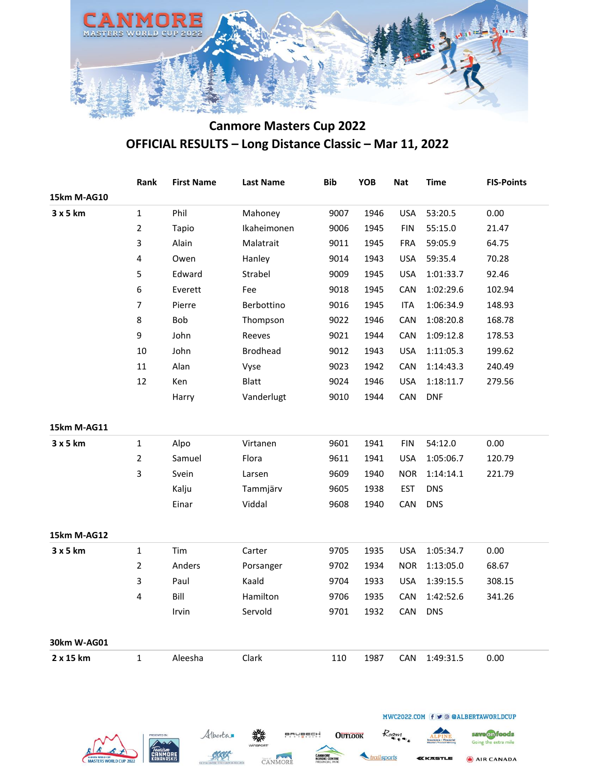

| Rank           | <b>First Name</b> | <b>Last Name</b> | <b>Bib</b> | YOB  | <b>Nat</b> | <b>Time</b> | <b>FIS-Points</b> |
|----------------|-------------------|------------------|------------|------|------------|-------------|-------------------|
|                |                   |                  |            |      |            |             |                   |
| $\mathbf{1}$   | Phil              | Mahoney          | 9007       | 1946 | <b>USA</b> | 53:20.5     | 0.00              |
| $\overline{2}$ | Tapio             | Ikaheimonen      | 9006       | 1945 | <b>FIN</b> | 55:15.0     | 21.47             |
| 3              | Alain             | Malatrait        | 9011       | 1945 | <b>FRA</b> | 59:05.9     | 64.75             |
| $\pmb{4}$      | Owen              | Hanley           | 9014       | 1943 | <b>USA</b> | 59:35.4     | 70.28             |
| 5              | Edward            | Strabel          | 9009       | 1945 | <b>USA</b> | 1:01:33.7   | 92.46             |
| 6              | Everett           | Fee              | 9018       | 1945 | CAN        | 1:02:29.6   | 102.94            |
| $\overline{7}$ | Pierre            | Berbottino       | 9016       | 1945 | <b>ITA</b> | 1:06:34.9   | 148.93            |
| 8              | Bob               | Thompson         | 9022       | 1946 | CAN        | 1:08:20.8   | 168.78            |
| 9              | John              | Reeves           | 9021       | 1944 | CAN        | 1:09:12.8   | 178.53            |
| $10\,$         | John              | <b>Brodhead</b>  | 9012       | 1943 | <b>USA</b> | 1:11:05.3   | 199.62            |
| 11             | Alan              | Vyse             | 9023       | 1942 | CAN        | 1:14:43.3   | 240.49            |
| 12             | Ken               | <b>Blatt</b>     | 9024       | 1946 | <b>USA</b> | 1:18:11.7   | 279.56            |
|                | Harry             | Vanderlugt       | 9010       | 1944 | CAN        | <b>DNF</b>  |                   |
|                |                   |                  |            |      |            |             |                   |
| $\mathbf{1}$   | Alpo              | Virtanen         | 9601       | 1941 | <b>FIN</b> | 54:12.0     | 0.00              |
| $\overline{2}$ | Samuel            | Flora            | 9611       | 1941 | <b>USA</b> | 1:05:06.7   | 120.79            |
| 3              | Svein             | Larsen           | 9609       | 1940 | <b>NOR</b> | 1:14:14.1   | 221.79            |
|                |                   | Tammjärv         | 9605       | 1938 | <b>EST</b> | <b>DNS</b>  |                   |
|                | Einar             | Viddal           | 9608       | 1940 | CAN        | <b>DNS</b>  |                   |
|                |                   |                  |            |      |            |             |                   |
| $\mathbf{1}$   | Tim               | Carter           | 9705       | 1935 | <b>USA</b> | 1:05:34.7   | 0.00              |
| $\overline{2}$ | Anders            | Porsanger        | 9702       | 1934 | <b>NOR</b> | 1:13:05.0   | 68.67             |
| 3              | Paul              | Kaald            | 9704       | 1933 | <b>USA</b> | 1:39:15.5   | 308.15            |
| 4              | Bill              | Hamilton         | 9706       | 1935 | CAN        | 1:42:52.6   | 341.26            |
|                | Irvin             | Servold          | 9701       | 1932 | CAN        | <b>DNS</b>  |                   |
|                |                   |                  |            |      |            |             |                   |
|                |                   |                  | 110        | 1987 | CAN        | 1:49:31.5   | 0.00              |
|                |                   | Kalju            |            |      |            |             |                   |



CANMORE

KKK

ailsports KKASTLE Going the extra mile

AIR CANADA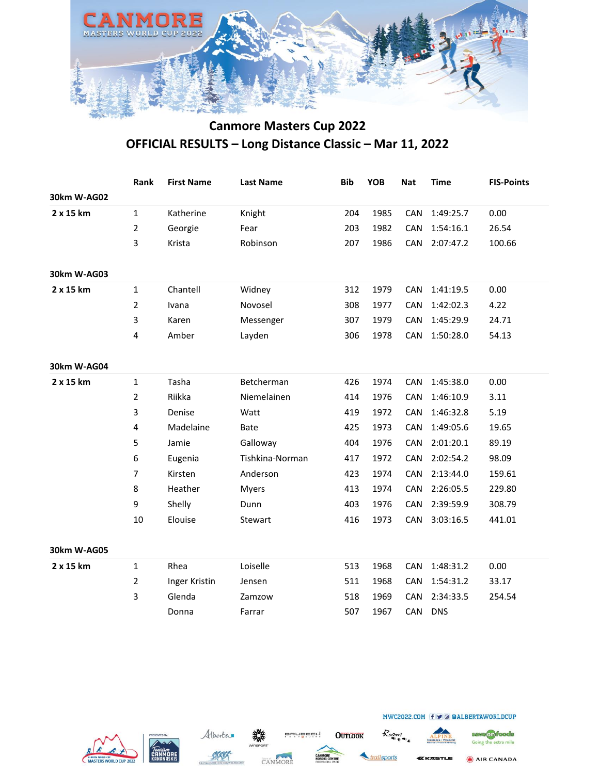

|             | Rank           | <b>First Name</b> | <b>Last Name</b> | <b>Bib</b> | <b>YOB</b> | <b>Nat</b> | <b>Time</b> | <b>FIS-Points</b> |
|-------------|----------------|-------------------|------------------|------------|------------|------------|-------------|-------------------|
| 30km W-AG02 |                |                   |                  |            |            |            |             |                   |
| 2 x 15 km   | $\mathbf{1}$   | Katherine         | Knight           | 204        | 1985       | CAN        | 1:49:25.7   | 0.00              |
|             | $\overline{2}$ | Georgie           | Fear             | 203        | 1982       | CAN        | 1:54:16.1   | 26.54             |
|             | 3              | Krista            | Robinson         | 207        | 1986       | CAN        | 2:07:47.2   | 100.66            |
| 30km W-AG03 |                |                   |                  |            |            |            |             |                   |
| 2 x 15 km   | $\mathbf{1}$   | Chantell          | Widney           | 312        | 1979       | CAN        | 1:41:19.5   | 0.00              |
|             | $\overline{2}$ | Ivana             | Novosel          | 308        | 1977       | CAN        | 1:42:02.3   | 4.22              |
|             | 3              | Karen             | Messenger        | 307        | 1979       | CAN        | 1:45:29.9   | 24.71             |
|             | $\overline{4}$ | Amber             | Layden           | 306        | 1978       | CAN        | 1:50:28.0   | 54.13             |
| 30km W-AG04 |                |                   |                  |            |            |            |             |                   |
| 2 x 15 km   | $\mathbf{1}$   | Tasha             | Betcherman       | 426        | 1974       | CAN        | 1:45:38.0   | 0.00              |
|             | 2              | Riikka            | Niemelainen      | 414        | 1976       | CAN        | 1:46:10.9   | 3.11              |
|             | 3              | Denise            | Watt             | 419        | 1972       | CAN        | 1:46:32.8   | 5.19              |
|             | 4              | Madelaine         | <b>Bate</b>      | 425        | 1973       | CAN        | 1:49:05.6   | 19.65             |
|             | 5              | Jamie             | Galloway         | 404        | 1976       | CAN        | 2:01:20.1   | 89.19             |
|             | 6              | Eugenia           | Tishkina-Norman  | 417        | 1972       | CAN        | 2:02:54.2   | 98.09             |
|             | 7              | Kirsten           | Anderson         | 423        | 1974       | CAN        | 2:13:44.0   | 159.61            |
|             | 8              | Heather           | <b>Myers</b>     | 413        | 1974       | CAN        | 2:26:05.5   | 229.80            |
|             | 9              | Shelly            | Dunn             | 403        | 1976       | CAN        | 2:39:59.9   | 308.79            |
|             | 10             | Elouise           | Stewart          | 416        | 1973       | CAN        | 3:03:16.5   | 441.01            |
| 30km W-AG05 |                |                   |                  |            |            |            |             |                   |
| 2 x 15 km   | $\mathbf{1}$   | Rhea              | Loiselle         | 513        | 1968       | CAN        | 1:48:31.2   | 0.00              |
|             | 2              | Inger Kristin     | Jensen           | 511        | 1968       | CAN        | 1:54:31.2   | 33.17             |
|             | 3              | Glenda            | Zamzow           | 518        | 1969       | CAN        | 2:34:33.5   | 254.54            |
|             |                | Donna             | Farrar           | 507        | 1967       | CAN        | <b>DNS</b>  |                   |







**OUTLOOK** 



Roam

Going the extra mile AIR CANADA

save on foods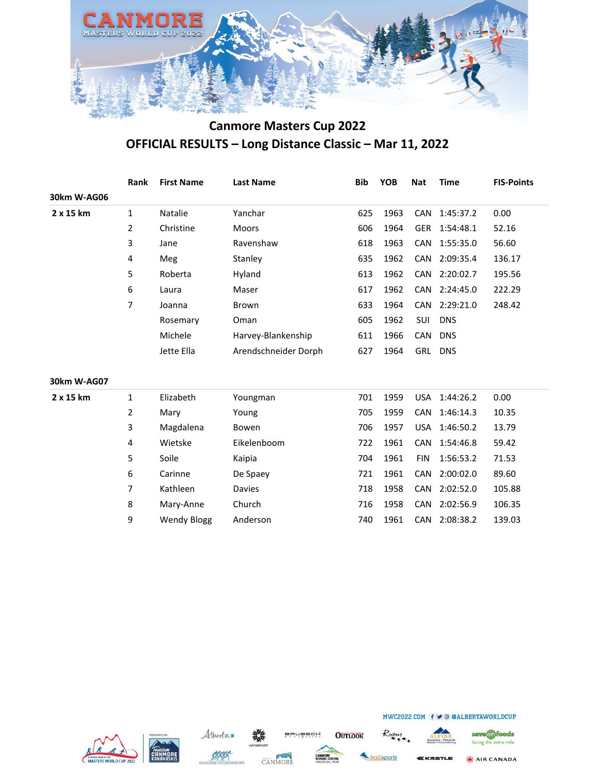

|             | Rank | <b>First Name</b> | <b>Last Name</b>     | <b>Bib</b> | <b>YOB</b> | Nat        | <b>Time</b>   | <b>FIS-Points</b> |
|-------------|------|-------------------|----------------------|------------|------------|------------|---------------|-------------------|
| 30km W-AG06 |      |                   |                      |            |            |            |               |                   |
| 2 x 15 km   | 1    | <b>Natalie</b>    | Yanchar              | 625        | 1963       |            | CAN 1:45:37.2 | 0.00              |
|             | 2    | Christine         | <b>Moors</b>         | 606        | 1964       |            | GER 1:54:48.1 | 52.16             |
|             | 3    | Jane              | Ravenshaw            | 618        | 1963       |            | CAN 1:55:35.0 | 56.60             |
|             | 4    | Meg               | Stanley              | 635        | 1962       |            | CAN 2:09:35.4 | 136.17            |
|             | 5    | Roberta           | Hyland               | 613        | 1962       |            | CAN 2:20:02.7 | 195.56            |
|             | 6    | Laura             | Maser                | 617        | 1962       |            | CAN 2:24:45.0 | 222.29            |
|             | 7    | Joanna            | <b>Brown</b>         | 633        | 1964       |            | CAN 2:29:21.0 | 248.42            |
|             |      | Rosemary          | Oman                 | 605        | 1962       | <b>SUI</b> | <b>DNS</b>    |                   |
|             |      | Michele           | Harvey-Blankenship   | 611        | 1966       | CAN        | <b>DNS</b>    |                   |
|             |      | Jette Ella        | Arendschneider Dorph | 627        | 1964       | GRL        | <b>DNS</b>    |                   |

#### **30km W-AG07**

| 2 x 15 km | 1              | Elizabeth          | Youngman      | 701 | 1959 |            | USA 1:44:26.2 | 0.00   |
|-----------|----------------|--------------------|---------------|-----|------|------------|---------------|--------|
|           | $\overline{2}$ | Mary               | Young         | 705 | 1959 | CAN        | 1:46:14.3     | 10.35  |
|           | 3              | Magdalena          | Bowen         | 706 | 1957 | <b>USA</b> | 1:46:50.2     | 13.79  |
|           | 4              | Wietske            | Eikelenboom   | 722 | 1961 |            | CAN 1:54:46.8 | 59.42  |
|           | 5              | Soile              | Kaipia        | 704 | 1961 | <b>FIN</b> | 1:56:53.2     | 71.53  |
|           | 6              | Carinne            | De Spaey      | 721 | 1961 | CAN        | 2:00:02.0     | 89.60  |
|           | 7              | Kathleen           | <b>Davies</b> | 718 | 1958 | CAN        | 2:02:52.0     | 105.88 |
|           | 8              | Mary-Anne          | Church        | 716 | 1958 | CAN        | 2:02:56.9     | 106.35 |
|           | 9              | <b>Wendy Blogg</b> | Anderson      | 740 | 1961 | CAN        | 2:08:38.2     | 139.03 |
|           |                |                    |               |     |      |            |               |        |







**OUTLOOK** 





ailsports

MWC2022.COM (f ⊎ © @ALBERTAWORLDCUP

**KKASTLE**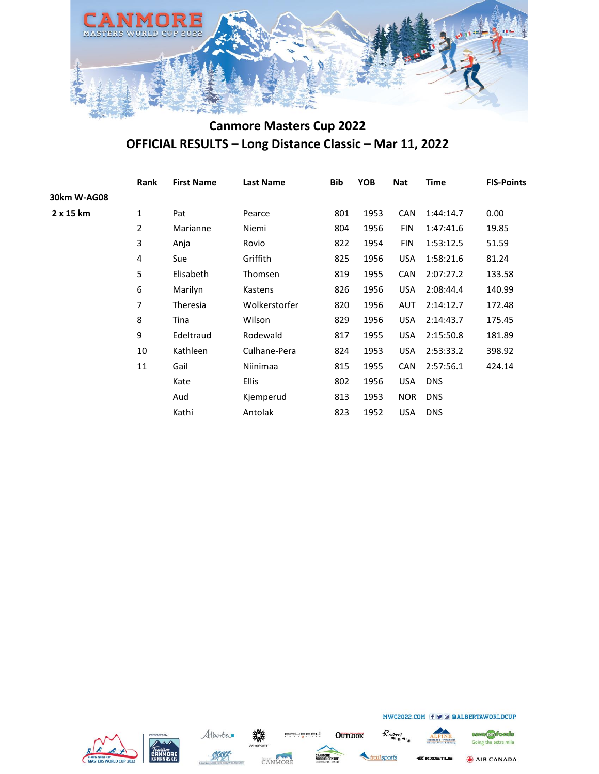

|                  | Rank         | <b>First Name</b> | <b>Last Name</b> | Bib | <b>YOB</b> | <b>Nat</b> | <b>Time</b> | <b>FIS-Points</b> |
|------------------|--------------|-------------------|------------------|-----|------------|------------|-------------|-------------------|
| 30km W-AG08      |              |                   |                  |     |            |            |             |                   |
| $2 \times 15$ km | $\mathbf{1}$ | Pat               | Pearce           | 801 | 1953       | <b>CAN</b> | 1:44:14.7   | 0.00              |
|                  | 2            | Marianne          | Niemi            | 804 | 1956       | <b>FIN</b> | 1:47:41.6   | 19.85             |
|                  | 3            | Anja              | Rovio            | 822 | 1954       | FIN        | 1:53:12.5   | 51.59             |
|                  | 4            | Sue               | Griffith         | 825 | 1956       | <b>USA</b> | 1:58:21.6   | 81.24             |
|                  | 5            | Elisabeth         | Thomsen          | 819 | 1955       | <b>CAN</b> | 2:07:27.2   | 133.58            |
|                  | 6            | Marilyn           | Kastens          | 826 | 1956       | <b>USA</b> | 2:08:44.4   | 140.99            |
|                  | 7            | Theresia          | Wolkerstorfer    | 820 | 1956       | <b>AUT</b> | 2:14:12.7   | 172.48            |
|                  | 8            | Tina              | Wilson           | 829 | 1956       | <b>USA</b> | 2:14:43.7   | 175.45            |
|                  | 9            | Edeltraud         | Rodewald         | 817 | 1955       | <b>USA</b> | 2:15:50.8   | 181.89            |
|                  | 10           | Kathleen          | Culhane-Pera     | 824 | 1953       | <b>USA</b> | 2:53:33.2   | 398.92            |
|                  | 11           | Gail              | Niinimaa         | 815 | 1955       | <b>CAN</b> | 2:57:56.1   | 424.14            |
|                  |              | Kate              | <b>Ellis</b>     | 802 | 1956       | <b>USA</b> | <b>DNS</b>  |                   |
|                  |              | Aud               | Kjemperud        | 813 | 1953       | NOR.       | <b>DNS</b>  |                   |
|                  |              | Kathi             | Antolak          | 823 | 1952       | <b>USA</b> | <b>DNS</b>  |                   |
|                  |              |                   |                  |     |            |            |             |                   |







**OUTLOOK** 

Roam ailsports



MWC2022.COM (f ⊎ © @ALBERTAWORLDCUP

save on foods Going the extra mile

AIR CANADA <u>(KASTLE</u>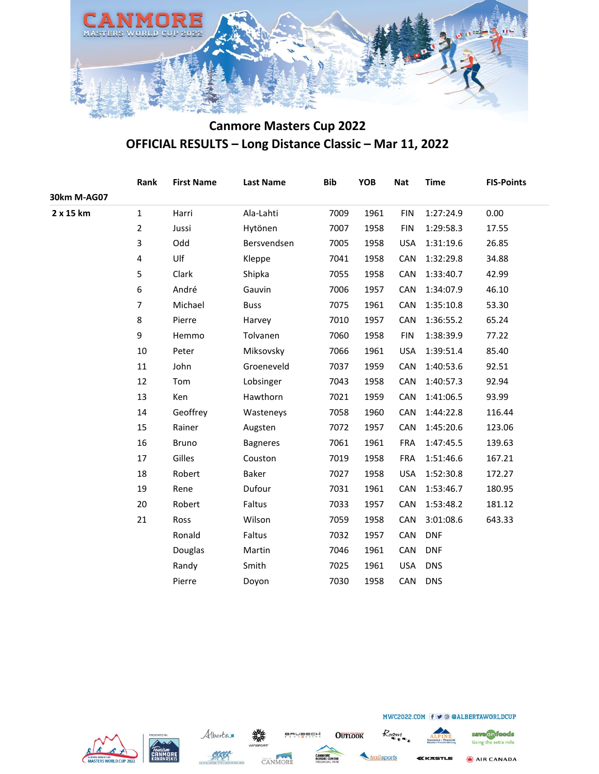

|             | Rank                    | <b>First Name</b> | <b>Last Name</b> | <b>Bib</b> | YOB  | <b>Nat</b> | <b>Time</b> | <b>FIS-Points</b> |
|-------------|-------------------------|-------------------|------------------|------------|------|------------|-------------|-------------------|
| 30km M-AG07 |                         |                   |                  |            |      |            |             |                   |
| 2 x 15 km   | $\mathbf{1}$            | Harri             | Ala-Lahti        | 7009       | 1961 | <b>FIN</b> | 1:27:24.9   | 0.00              |
|             | $\overline{2}$          | Jussi             | Hytönen          | 7007       | 1958 | <b>FIN</b> | 1:29:58.3   | 17.55             |
|             | 3                       | Odd               | Bersvendsen      | 7005       | 1958 | <b>USA</b> | 1:31:19.6   | 26.85             |
|             | $\overline{\mathbf{4}}$ | Ulf               | Kleppe           | 7041       | 1958 | CAN        | 1:32:29.8   | 34.88             |
|             | 5                       | Clark             | Shipka           | 7055       | 1958 | CAN        | 1:33:40.7   | 42.99             |
|             | 6                       | André             | Gauvin           | 7006       | 1957 | CAN        | 1:34:07.9   | 46.10             |
|             | $\overline{7}$          | Michael           | <b>Buss</b>      | 7075       | 1961 | CAN        | 1:35:10.8   | 53.30             |
|             | 8                       | Pierre            | Harvey           | 7010       | 1957 | CAN        | 1:36:55.2   | 65.24             |
|             | 9                       | Hemmo             | Tolvanen         | 7060       | 1958 | <b>FIN</b> | 1:38:39.9   | 77.22             |
|             | 10                      | Peter             | Miksovsky        | 7066       | 1961 | <b>USA</b> | 1:39:51.4   | 85.40             |
|             | $11\,$                  | John              | Groeneveld       | 7037       | 1959 | CAN        | 1:40:53.6   | 92.51             |
|             | 12                      | Tom               | Lobsinger        | 7043       | 1958 | CAN        | 1:40:57.3   | 92.94             |
|             | 13                      | Ken               | Hawthorn         | 7021       | 1959 | CAN        | 1:41:06.5   | 93.99             |
|             | 14                      | Geoffrey          | Wasteneys        | 7058       | 1960 | CAN        | 1:44:22.8   | 116.44            |
|             | 15                      | Rainer            | Augsten          | 7072       | 1957 | CAN        | 1:45:20.6   | 123.06            |
|             | 16                      | Bruno             | <b>Bagneres</b>  | 7061       | 1961 | <b>FRA</b> | 1:47:45.5   | 139.63            |
|             | 17                      | Gilles            | Couston          | 7019       | 1958 | <b>FRA</b> | 1:51:46.6   | 167.21            |
|             | 18                      | Robert            | Baker            | 7027       | 1958 | <b>USA</b> | 1:52:30.8   | 172.27            |
|             | 19                      | Rene              | Dufour           | 7031       | 1961 | CAN        | 1:53:46.7   | 180.95            |
|             | $20\,$                  | Robert            | Faltus           | 7033       | 1957 | CAN        | 1:53:48.2   | 181.12            |
|             | 21                      | Ross              | Wilson           | 7059       | 1958 | CAN        | 3:01:08.6   | 643.33            |
|             |                         | Ronald            | Faltus           | 7032       | 1957 | CAN        | <b>DNF</b>  |                   |
|             |                         | Douglas           | Martin           | 7046       | 1961 | CAN        | <b>DNF</b>  |                   |
|             |                         | Randy             | Smith            | 7025       | 1961 | <b>USA</b> | <b>DNS</b>  |                   |
|             |                         | Pierre            | Doyon            | 7030       | 1958 | CAN        | <b>DNS</b>  |                   |
|             |                         |                   |                  |            |      |            |             |                   |







**OUTLOOK** 



Roam



AIR CANADA *EKASTLE*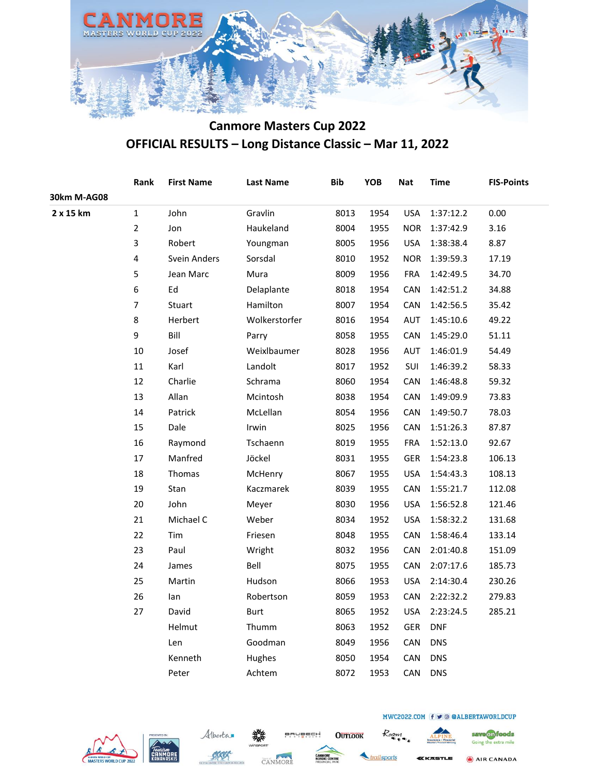

|             | Rank           | <b>First Name</b> | <b>Last Name</b> | <b>Bib</b> | YOB  | <b>Nat</b> | <b>Time</b> | <b>FIS-Points</b> |
|-------------|----------------|-------------------|------------------|------------|------|------------|-------------|-------------------|
| 30km M-AG08 |                |                   |                  |            |      |            |             |                   |
| 2 x 15 km   | $\mathbf{1}$   | John              | Gravlin          | 8013       | 1954 | <b>USA</b> | 1:37:12.2   | 0.00              |
|             | $\overline{2}$ | Jon               | Haukeland        | 8004       | 1955 | <b>NOR</b> | 1:37:42.9   | 3.16              |
|             | 3              | Robert            | Youngman         | 8005       | 1956 | <b>USA</b> | 1:38:38.4   | 8.87              |
|             | $\pmb{4}$      | Svein Anders      | Sorsdal          | 8010       | 1952 | <b>NOR</b> | 1:39:59.3   | 17.19             |
|             | 5              | Jean Marc         | Mura             | 8009       | 1956 | <b>FRA</b> | 1:42:49.5   | 34.70             |
|             | 6              | Ed                | Delaplante       | 8018       | 1954 | CAN        | 1:42:51.2   | 34.88             |
|             | $\overline{7}$ | Stuart            | Hamilton         | 8007       | 1954 | CAN        | 1:42:56.5   | 35.42             |
|             | 8              | Herbert           | Wolkerstorfer    | 8016       | 1954 | AUT        | 1:45:10.6   | 49.22             |
|             | 9              | Bill              | Parry            | 8058       | 1955 | <b>CAN</b> | 1:45:29.0   | 51.11             |
|             | 10             | Josef             | Weixlbaumer      | 8028       | 1956 | AUT        | 1:46:01.9   | 54.49             |
|             | $11\,$         | Karl              | Landolt          | 8017       | 1952 | SUI        | 1:46:39.2   | 58.33             |
|             | 12             | Charlie           | Schrama          | 8060       | 1954 | CAN        | 1:46:48.8   | 59.32             |
|             | 13             | Allan             | Mcintosh         | 8038       | 1954 | CAN        | 1:49:09.9   | 73.83             |
|             | 14             | Patrick           | McLellan         | 8054       | 1956 | CAN        | 1:49:50.7   | 78.03             |
|             | 15             | Dale              | Irwin            | 8025       | 1956 | CAN        | 1:51:26.3   | 87.87             |
|             | 16             | Raymond           | Tschaenn         | 8019       | 1955 | FRA        | 1:52:13.0   | 92.67             |
|             | 17             | Manfred           | Jöckel           | 8031       | 1955 | GER        | 1:54:23.8   | 106.13            |
|             | 18             | Thomas            | McHenry          | 8067       | 1955 | <b>USA</b> | 1:54:43.3   | 108.13            |
|             | 19             | Stan              | Kaczmarek        | 8039       | 1955 | CAN        | 1:55:21.7   | 112.08            |
|             | 20             | John              | Meyer            | 8030       | 1956 | <b>USA</b> | 1:56:52.8   | 121.46            |
|             | 21             | Michael C         | Weber            | 8034       | 1952 | <b>USA</b> | 1:58:32.2   | 131.68            |
|             | 22             | Tim               | Friesen          | 8048       | 1955 | CAN        | 1:58:46.4   | 133.14            |
|             | 23             | Paul              | Wright           | 8032       | 1956 | CAN        | 2:01:40.8   | 151.09            |
|             | 24             | James             | Bell             | 8075       | 1955 | <b>CAN</b> | 2:07:17.6   | 185.73            |
|             | 25             | Martin            | Hudson           | 8066       | 1953 | <b>USA</b> | 2:14:30.4   | 230.26            |
|             | 26             | lan               | Robertson        | 8059       | 1953 | CAN        | 2:22:32.2   | 279.83            |
|             | 27             | David             | Burt             | 8065       | 1952 | <b>USA</b> | 2:23:24.5   | 285.21            |
|             |                | Helmut            | Thumm            | 8063       | 1952 | GER        | <b>DNF</b>  |                   |
|             |                | Len               | Goodman          | 8049       | 1956 | CAN        | <b>DNS</b>  |                   |
|             |                | Kenneth           | Hughes           | 8050       | 1954 | CAN        | <b>DNS</b>  |                   |
|             |                | Peter             | Achtem           | 8072       | 1953 | CAN        | <b>DNS</b>  |                   |
|             |                |                   |                  |            |      |            |             |                   |







**OUTLOOK** 

railsports

Roam

KKASTLE

MWC2022.COM (f ⊎ © @ALBERTAWORLDCUP



save on foods

Going the extra mile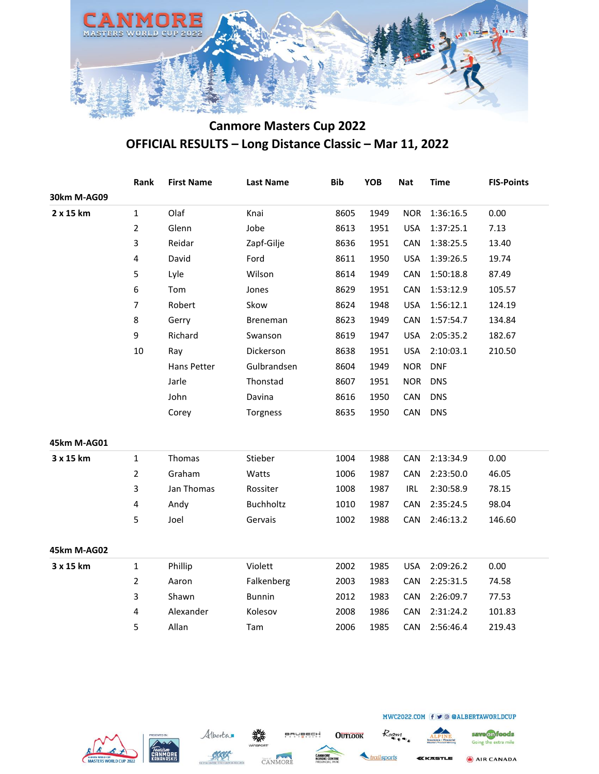

|             | Rank                    | <b>First Name</b> | <b>Last Name</b> | <b>Bib</b> | YOB  | <b>Nat</b> | <b>Time</b> | <b>FIS-Points</b> |
|-------------|-------------------------|-------------------|------------------|------------|------|------------|-------------|-------------------|
| 30km M-AG09 |                         |                   |                  |            |      |            |             |                   |
| 2 x 15 km   | $\mathbf 1$             | Olaf              | Knai             | 8605       | 1949 | <b>NOR</b> | 1:36:16.5   | 0.00              |
|             | $\overline{2}$          | Glenn             | Jobe             | 8613       | 1951 | <b>USA</b> | 1:37:25.1   | 7.13              |
|             | 3                       | Reidar            | Zapf-Gilje       | 8636       | 1951 | CAN        | 1:38:25.5   | 13.40             |
|             | $\overline{\mathbf{4}}$ | David             | Ford             | 8611       | 1950 | <b>USA</b> | 1:39:26.5   | 19.74             |
|             | 5                       | Lyle              | Wilson           | 8614       | 1949 | CAN        | 1:50:18.8   | 87.49             |
|             | 6                       | Tom               | Jones            | 8629       | 1951 | CAN        | 1:53:12.9   | 105.57            |
|             | $\overline{7}$          | Robert            | Skow             | 8624       | 1948 | <b>USA</b> | 1:56:12.1   | 124.19            |
|             | 8                       | Gerry             | <b>Breneman</b>  | 8623       | 1949 | CAN        | 1:57:54.7   | 134.84            |
|             | 9                       | Richard           | Swanson          | 8619       | 1947 | <b>USA</b> | 2:05:35.2   | 182.67            |
|             | 10                      | Ray               | Dickerson        | 8638       | 1951 | <b>USA</b> | 2:10:03.1   | 210.50            |
|             |                         | Hans Petter       | Gulbrandsen      | 8604       | 1949 | <b>NOR</b> | <b>DNF</b>  |                   |
|             |                         | Jarle             | Thonstad         | 8607       | 1951 | <b>NOR</b> | <b>DNS</b>  |                   |
|             |                         | John              | Davina           | 8616       | 1950 | CAN        | <b>DNS</b>  |                   |
|             |                         | Corey             | Torgness         | 8635       | 1950 | CAN        | <b>DNS</b>  |                   |
| 45km M-AG01 |                         |                   |                  |            |      |            |             |                   |
| 3 x 15 km   | $\mathbf{1}$            | Thomas            | Stieber          | 1004       | 1988 | CAN        | 2:13:34.9   | 0.00              |
|             | $\overline{2}$          | Graham            | Watts            | 1006       | 1987 | CAN        | 2:23:50.0   | 46.05             |
|             | 3                       | Jan Thomas        | Rossiter         | 1008       | 1987 | <b>IRL</b> | 2:30:58.9   | 78.15             |
|             | 4                       | Andy              | Buchholtz        | 1010       | 1987 | CAN        | 2:35:24.5   | 98.04             |
|             | 5                       | Joel              | Gervais          | 1002       | 1988 | CAN        | 2:46:13.2   | 146.60            |
| 45km M-AG02 |                         |                   |                  |            |      |            |             |                   |
| 3 x 15 km   | $\mathbf 1$             | Phillip           | Violett          | 2002       | 1985 | <b>USA</b> | 2:09:26.2   | 0.00              |
|             | $\overline{2}$          | Aaron             | Falkenberg       | 2003       | 1983 | CAN        | 2:25:31.5   | 74.58             |
|             | 3                       | Shawn             | <b>Bunnin</b>    | 2012       | 1983 | CAN        | 2:26:09.7   | 77.53             |
|             | 4                       | Alexander         | Kolesov          | 2008       | 1986 | CAN        | 2:31:24.2   | 101.83            |
|             | 5                       | Allan             | Tam              | 2006       | 1985 | CAN        | 2:56:46.4   | 219.43            |







**OUTLOOK** 

Roan ailsports

Going the extra mile

save on foods

AIR CANADA **CASTLE**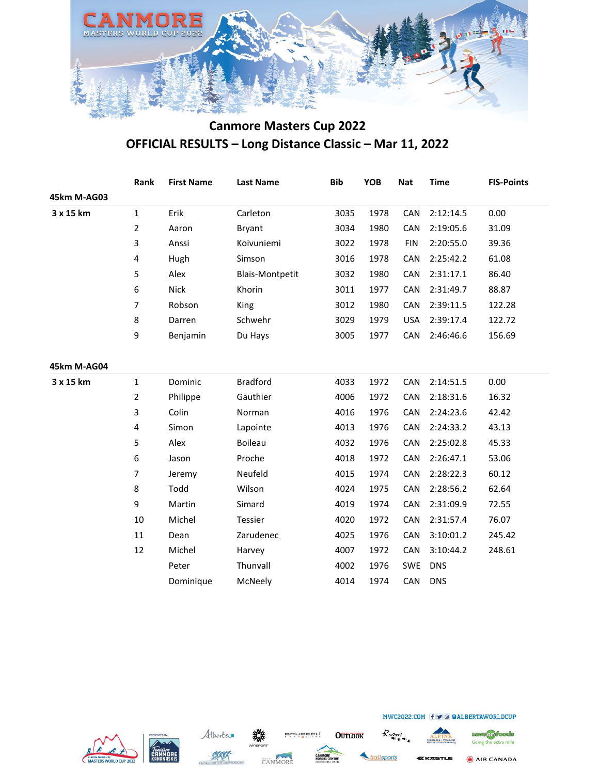

|             | Rank           | <b>First Name</b> | <b>Last Name</b>       | <b>Bib</b> | YOB  | <b>Nat</b> | <b>Time</b> | <b>FIS-Points</b> |
|-------------|----------------|-------------------|------------------------|------------|------|------------|-------------|-------------------|
| 45km M-AG03 |                |                   |                        |            |      |            |             |                   |
| 3 x 15 km   | $\mathbf{1}$   | Erik              | Carleton               | 3035       | 1978 | CAN        | 2:12:14.5   | 0.00              |
|             | $\overline{2}$ | Aaron             | <b>Bryant</b>          | 3034       | 1980 | CAN        | 2:19:05.6   | 31.09             |
|             | 3              | Anssi             | Koivuniemi             | 3022       | 1978 | <b>FIN</b> | 2:20:55.0   | 39.36             |
|             | 4              | Hugh              | Simson                 | 3016       | 1978 | CAN        | 2:25:42.2   | 61.08             |
|             | 5              | Alex              | <b>Blais-Montpetit</b> | 3032       | 1980 | CAN        | 2:31:17.1   | 86.40             |
|             | 6              | <b>Nick</b>       | Khorin                 | 3011       | 1977 | CAN        | 2:31:49.7   | 88.87             |
|             | $\overline{7}$ | Robson            | King                   | 3012       | 1980 | CAN        | 2:39:11.5   | 122.28            |
|             | 8              | Darren            | Schwehr                | 3029       | 1979 | <b>USA</b> | 2:39:17.4   | 122.72            |
|             | 9              | Benjamin          | Du Hays                | 3005       | 1977 | CAN        | 2:46:46.6   | 156.69            |
|             |                |                   |                        |            |      |            |             |                   |
| 45km M-AG04 |                |                   |                        |            |      |            |             |                   |
| 3 x 15 km   | $\mathbf{1}$   | Dominic           | <b>Bradford</b>        | 4033       | 1972 | CAN        | 2:14:51.5   | 0.00              |
|             | 2              | Philippe          | Gauthier               | 4006       | 1972 | CAN        | 2:18:31.6   | 16.32             |
|             | 3              | Colin             | Norman                 | 4016       | 1976 | CAN        | 2:24:23.6   | 42.42             |
|             | 4              | Simon             | Lapointe               | 4013       | 1976 | CAN        | 2:24:33.2   | 43.13             |
|             | 5              | Alex              | <b>Boileau</b>         | 4032       | 1976 | CAN        | 2:25:02.8   | 45.33             |
|             | 6              | Jason             | Proche                 | 4018       | 1972 | CAN        | 2:26:47.1   | 53.06             |
|             | $\overline{7}$ | Jeremy            | Neufeld                | 4015       | 1974 | CAN        | 2:28:22.3   | 60.12             |
|             | 8              | Todd              | Wilson                 | 4024       | 1975 | CAN        | 2:28:56.2   | 62.64             |
|             | 9              | Martin            | Simard                 | 4019       | 1974 | CAN        | 2:31:09.9   | 72.55             |
|             | 10             | Michel            | Tessier                | 4020       | 1972 | CAN        | 2:31:57.4   | 76.07             |
|             | 11             | Dean              | Zarudenec              | 4025       | 1976 | CAN        | 3:10:01.2   | 245.42            |
|             | 12             | Michel            | Harvey                 | 4007       | 1972 | CAN        | 3:10:44.2   | 248.61            |
|             |                | Peter             | Thunvall               | 4002       | 1976 | <b>SWE</b> | <b>DNS</b>  |                   |
|             |                | Dominique         | McNeely                | 4014       | 1974 | CAN        | <b>DNS</b>  |                   |









ailsports

**OUTLOOK** 

Roam



save on foods Going the extra mile

AIR CANADA

<u>(KASTLE</u>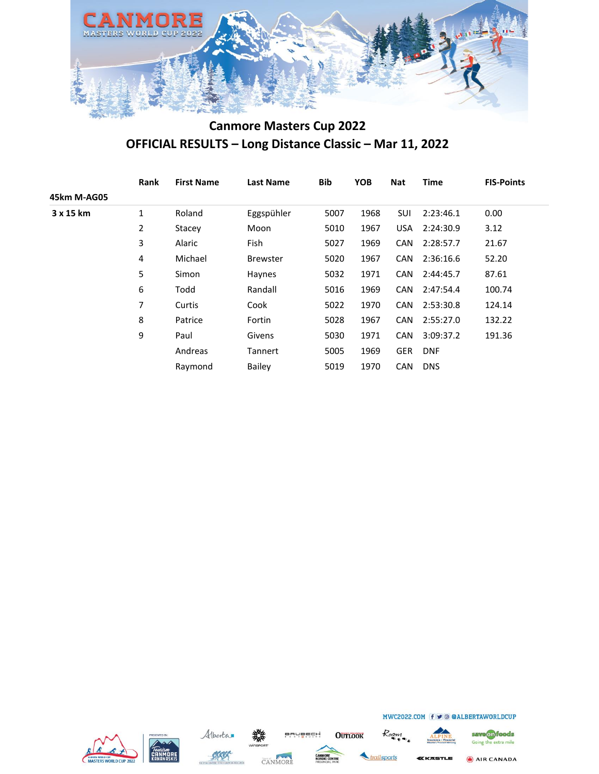

|             | Rank | <b>First Name</b> | <b>Last Name</b> | <b>Bib</b> | <b>YOB</b> | <b>Nat</b> | <b>Time</b> | <b>FIS-Points</b> |
|-------------|------|-------------------|------------------|------------|------------|------------|-------------|-------------------|
| 45km M-AG05 |      |                   |                  |            |            |            |             |                   |
| 3 x 15 km   | 1    | Roland            | Eggspühler       | 5007       | 1968       | SUI        | 2:23:46.1   | 0.00              |
|             | 2    | Stacey            | Moon             | 5010       | 1967       | <b>USA</b> | 2:24:30.9   | 3.12              |
|             | 3    | Alaric            | Fish             | 5027       | 1969       | <b>CAN</b> | 2:28:57.7   | 21.67             |
|             | 4    | Michael           | <b>Brewster</b>  | 5020       | 1967       | <b>CAN</b> | 2:36:16.6   | 52.20             |
|             | 5    | Simon             | Haynes           | 5032       | 1971       | CAN        | 2:44:45.7   | 87.61             |
|             | 6    | Todd              | Randall          | 5016       | 1969       | CAN        | 2:47:54.4   | 100.74            |
|             | 7    | Curtis            | Cook             | 5022       | 1970       | CAN        | 2:53:30.8   | 124.14            |
|             | 8    | Patrice           | Fortin           | 5028       | 1967       | CAN        | 2:55:27.0   | 132.22            |
|             | 9    | Paul              | Givens           | 5030       | 1971       | <b>CAN</b> | 3:09:37.2   | 191.36            |
|             |      | Andreas           | Tannert          | 5005       | 1969       | <b>GER</b> | <b>DNF</b>  |                   |
|             |      | Raymond           | <b>Bailey</b>    | 5019       | 1970       | <b>CAN</b> | <b>DNS</b>  |                   |









**OUTLOOK** 



Roam



MWC2022.COM (f ⊎ © @ALBERTAWORLDCUP

AIR CANADA